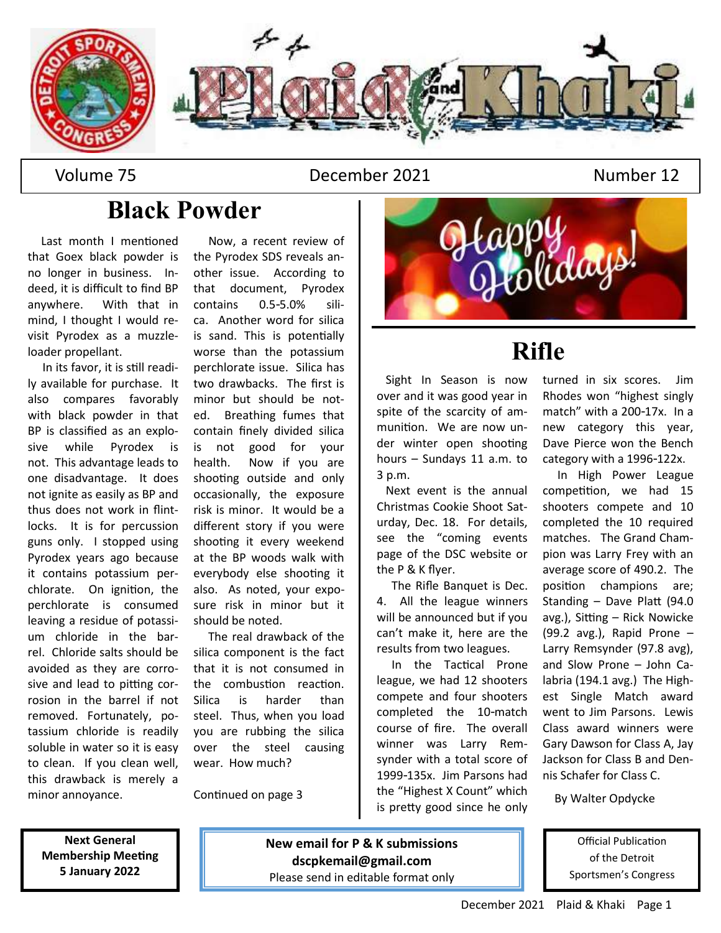

#### Volume 75 December 2021 Number 12

## **Black Powder**

Last month I mentioned that Goex black powder is no longer in business. Indeed, it is difficult to find BP anywhere. With that in mind, I thought I would revisit Pyrodex as a muzzleloader propellant.

 In its favor, it is still readily available for purchase. It also compares favorably with black powder in that BP is classified as an explosive while Pyrodex is not. This advantage leads to one disadvantage. It does not ignite as easily as BP and thus does not work in flintlocks. It is for percussion guns only. I stopped using Pyrodex years ago because it contains potassium perchlorate. On ignition, the perchlorate is consumed leaving a residue of potassium chloride in the barrel. Chloride salts should be avoided as they are corrosive and lead to pitting corrosion in the barrel if not removed. Fortunately, potassium chloride is readily soluble in water so it is easy to clean. If you clean well, this drawback is merely a minor annoyance.

 Now, a recent review of the Pyrodex SDS reveals another issue. According to that document, Pyrodex contains 0.5-5.0% silica. Another word for silica is sand. This is potentially worse than the potassium perchlorate issue. Silica has two drawbacks. The first is minor but should be noted. Breathing fumes that contain finely divided silica is not good for your health. Now if you are shooting outside and only occasionally, the exposure risk is minor. It would be a different story if you were shooting it every weekend at the BP woods walk with everybody else shooting it also. As noted, your exposure risk in minor but it should be noted.

 The real drawback of the silica component is the fact that it is not consumed in the combustion reaction. Silica is harder than steel. Thus, when you load you are rubbing the silica over the steel causing wear. How much?

Continued on page 3



## **Rifle**

 Sight In Season is now over and it was good year in spite of the scarcity of ammunition. We are now under winter open shooting hours – Sundays 11 a.m. to 3 p.m.

 Next event is the annual Christmas Cookie Shoot Saturday, Dec. 18. For details, see the "coming events page of the DSC website or the P & K flyer.

 The Rifle Banquet is Dec. 4. All the league winners will be announced but if you can't make it, here are the results from two leagues.

 In the Tactical Prone league, we had 12 shooters compete and four shooters completed the 10-match course of fire. The overall winner was Larry Remsynder with a total score of 1999-135x. Jim Parsons had the "Highest X Count" which is pretty good since he only

turned in six scores. Jim Rhodes won "highest singly match" with a 200-17x. In a new category this year, Dave Pierce won the Bench category with a 1996-122x.

In High Power League competition, we had 15 shooters compete and 10 completed the 10 required matches. The Grand Champion was Larry Frey with an average score of 490.2. The position champions are; Standing – Dave Platt (94.0 avg.), Sitting – Rick Nowicke (99.2 avg.), Rapid Prone – Larry Remsynder (97.8 avg), and Slow Prone – John Calabria (194.1 avg.) The Highest Single Match award went to Jim Parsons. Lewis Class award winners were Gary Dawson for Class A, Jay Jackson for Class B and Dennis Schafer for Class C.

By Walter Opdycke

Official Publication of the Detroit Sportsmen's Congress

**Next General Membership Meeting 5 January 2022**

**New email for P & K submissions dscpkemail@gmail.com** Please send in editable format only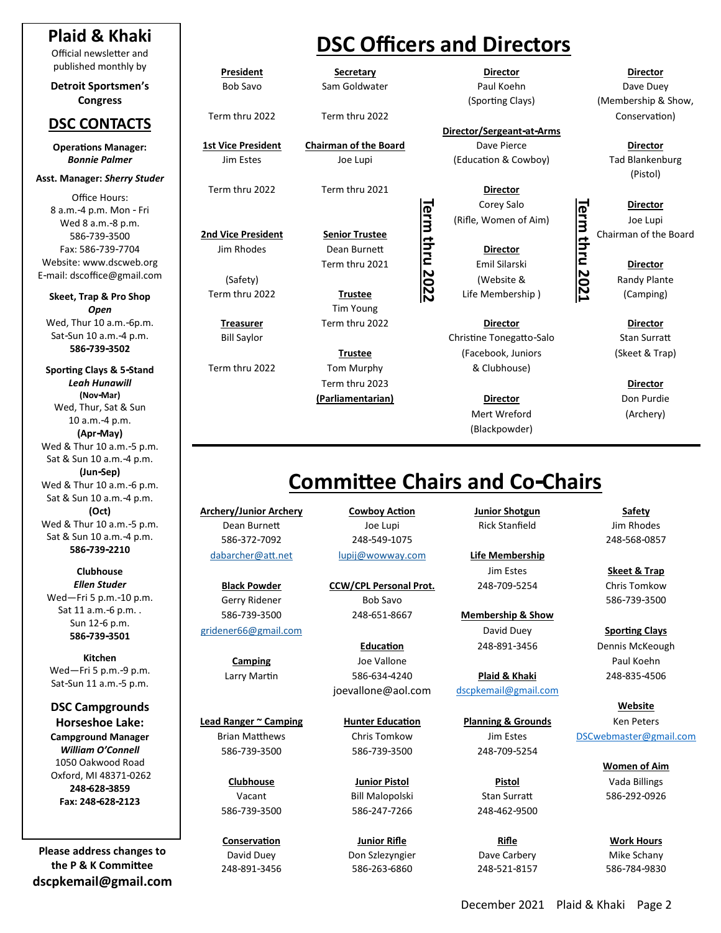#### **Plaid & Khaki**

Official newsletter and published monthly by

**Detroit Sportsmen's Congress**

#### **DSC CONTACTS**

**Operations Manager:**  *Bonnie Palmer*

**Asst. Manager:** *Sherry Studer*

Office Hours: 8 a.m.-4 p.m. Mon - Fri Wed 8 a.m.-8 p.m. 586-739-3500 Fax: 586-739-7704 Website: www.dscweb.org E-mail: dscoffice@gmail.com

**Skeet, Trap & Pro Shop** *Open* Wed, Thur 10 a.m.-6p.m. Sat-Sun 10 a.m.-4 p.m. **586-739-3502**

**Sporting Clays & 5-Stand** *Leah Hunawill* **(Nov-Mar)** Wed, Thur, Sat & Sun 10 a.m.-4 p.m. **(Apr-May)** Wed & Thur 10 a.m.-5 p.m. Sat & Sun 10 a.m.-4 p.m. **(Jun-Sep)** Wed & Thur 10 a.m.-6 p.m. Sat & Sun 10 a.m.-4 p.m. **(Oct)** Wed & Thur 10 a.m.-5 p.m. Sat & Sun 10 a.m.-4 p.m. **586-739-2210**

**Clubhouse** *Ellen Studer* Wed—Fri 5 p.m.-10 p.m. Sat 11 a.m.-6 p.m. . Sun 12-6 p.m. **586-739-3501**

**Kitchen** Wed—Fri 5 p.m.-9 p.m. Sat-Sun 11 a.m.-5 p.m.

**DSC Campgrounds Horseshoe Lake: Campground Manager** *William O'Connell* 1050 Oakwood Road Oxford, MI 48371-0262 **248-628-3859 Fax: 248-628-2123**

**Please address changes to the P & K Committee dscpkemail@gmail.com**

## **DSC Officers and Directors**

**President Secretary**

**1st Vice President Chairman of the Board** Dave Pierce **Director** Jim Estes Joe Lupi (Education & Cowboy) Tad Blankenburg

Term thru 2022 Term thru 2021 **Director**

Jim Rhodes Dean Burnett **Director**

Tim Young

Term thru 2023 **Director (Parliamentarian) Director** Don Purdie

**Director** Bob Savo Sam Goldwater **Paul Koehn Dave Duey** Dave Duey

**Director/Sergeant-at-Arms**

(Rifle, Women of Aim)  $\boxed{=}$  Joe Lupi

**2nd Vice President**<br> **2nd Vice President**<br> **2nd Vice President**<br> **2nd Vice President**<br> **2nd Vice President**<br> **2021**<br> **2021**<br> **2022**<br> **2022**<br> **2022**<br> **2022**<br> **2022**<br> **2023**<br> **2023**<br> **2023**<br> **2023**<br> **2023**<br> **2023**<br> **2023**<br> Term thru 2021 **C** Emil Silarski **C** Director (Safety) **Communist Communist Communist Communist Communist Communist Communist Communist Communist Communist Communist Communist Communist Communist Communist Communist Communist Communist Communist Communist Communist Co** Term thru 2022 **Trustee** Life Membership ) (Camping)

**Treasurer** Term thru 2022 **Director Director** Bill Saylor Christine Tonegatto-Salo Stan Surratt **Trustee** (Facebook, Juniors (Skeet & Trap) Term thru 2022 Tom Murphy The Muslem & Clubhouse)

> Mert Wreford (Archery) (Blackpowder)

**Director** (Sporting Clays) (Membership & Show, Term thru 2022 Term thru 2022 Conservation)

(Pistol)

## **Committee Chairs and Co-Chairs**

**Archery/Junior Archery Cowboy Action Junior Shotgun Safety** Dean Burnett Joe Lupi Rick Stanfield Jim Rhodes 586-372-7092 248-549-1075 248-568-0857 [dabarcher@att.net](mailto:dabarcher@att.net) [lupij@wowway.com](mailto:lupij@wowway.com) **Life Membership**

**Lead Ranger ~ Camping Hunter Education Planning & Grounds** Ken Peters Brian Matthews Chris Tomkow Jim Estes DSCwebmaster@gmail.com 586-739-3500 586-739-3500 248-709-5254

586-739-3500 586-247-7266 248-462-9500

**Black Powder CCW/CPL Personal Prot.** 248-709-5254 Chris Tomkow Gerry Ridener **Bob Savo** 687 September 2014 12:33 September 2014 12:33 September 2014 13:34 586-739-3500 248-651-8667 **Membership & Show**

**Camping Campion Campion Communist Communist Campion Campion Campion Campion Campion Communist Communist Communist Communist Communist Communist Communist Communist Communist Communist Communist Communist Communist Communi** Larry Martin 586-634-4240 **Plaid & Khaki** 248-835-4506 joevallone@aol.com dscpkemail@gmail.com

Vacant Bill Malopolski Stan Surratt 586-292-0926

**Conservation Junior Rifle Rifle Work Hours** David Duey Don Szlezyngier Dave Carbery Mike Schany 248-891-3456 586-263-6860 248-521-8157 586-784-9830

[gridener66@gmail.com](mailto:gridender66@gmail.com) David Duey **Sporting Clays** Education 248-891-3456 Dennis McKeough

Jim Estes **Skeet & Trap**

**Website**

**Women of Aim Clubhouse Junior Pistol Pistol** Vada Billings

Corey Salo<br>
Women of Aim)<br>
Director<br>
Director<br>
Emil Silarski<br>
(Website &<br>
Membership )<br>
Camping

**Term thru 2021**

**Term thru 2022**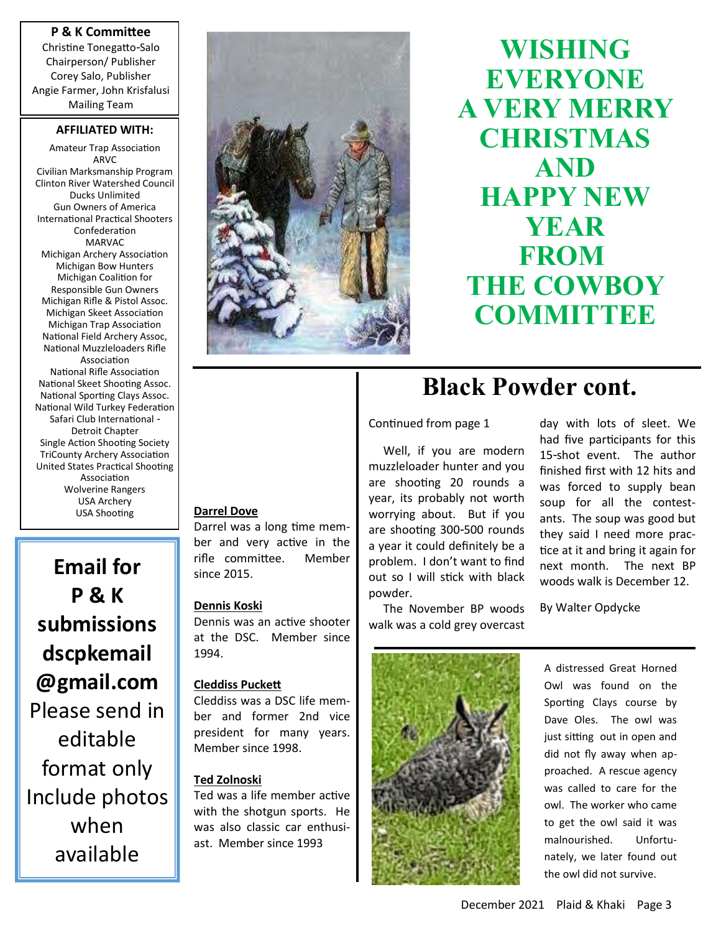#### **P & K Committee**

Christine Tonegatto-Salo Chairperson/ Publisher Corey Salo, Publisher Angie Farmer, John Krisfalusi Mailing Team

#### **AFFILIATED WITH:**

Amateur Trap Association AR<sub>V</sub>C Civilian Marksmanship Program Clinton River Watershed Council Ducks Unlimited Gun Owners of America International Practical Shooters Confederation MARVAC Michigan Archery Association Michigan Bow Hunters Michigan Coalition for Responsible Gun Owners Michigan Rifle & Pistol Assoc. Michigan Skeet Association Michigan Trap Association National Field Archery Assoc, National Muzzleloaders Rifle Association National Rifle Association National Skeet Shooting Assoc. National Sporting Clays Assoc. National Wild Turkey Federation Safari Club International - Detroit Chapter Single Action Shooting Society TriCounty Archery Association United States Practical Shooting Association Wolverine Rangers USA Archery USA Shooting

**Email for P & K submissions dscpkemail @gmail.com** Please send in editable format only Include photos when available



**WISHING EVERYONE A VERY MERRY CHRISTMAS AND HAPPY NEW YEAR FROM THE COWBOY COMMITTEE** 

#### **Darrel Dove**

Darrel was a long time member and very active in the rifle committee. Member since 2015.

#### **Dennis Koski**

Dennis was an active shooter at the DSC. Member since 1994.

#### **Cleddiss Puckett**

Cleddiss was a DSC life member and former 2nd vice president for many years. Member since 1998.

#### **Ted Zolnoski**

Ted was a life member active with the shotgun sports. He was also classic car enthusiast. Member since 1993

## **Black Powder cont.**

#### Continued from page 1

 Well, if you are modern muzzleloader hunter and you are shooting 20 rounds a year, its probably not worth worrying about. But if you are shooting 300-500 rounds a year it could definitely be a problem. I don't want to find out so I will stick with black powder.

day with lots of sleet. We had five participants for this 15-shot event. The author finished first with 12 hits and was forced to supply bean soup for all the contestants. The soup was good but they said I need more practice at it and bring it again for next month. The next BP woods walk is December 12.

By Walter Opdycke

The November BP woods walk was a cold grey overcast



A distressed Great Horned Owl was found on the Sporting Clays course by Dave Oles. The owl was just sitting out in open and did not fly away when approached. A rescue agency was called to care for the owl. The worker who came to get the owl said it was malnourished. Unfortunately, we later found out the owl did not survive.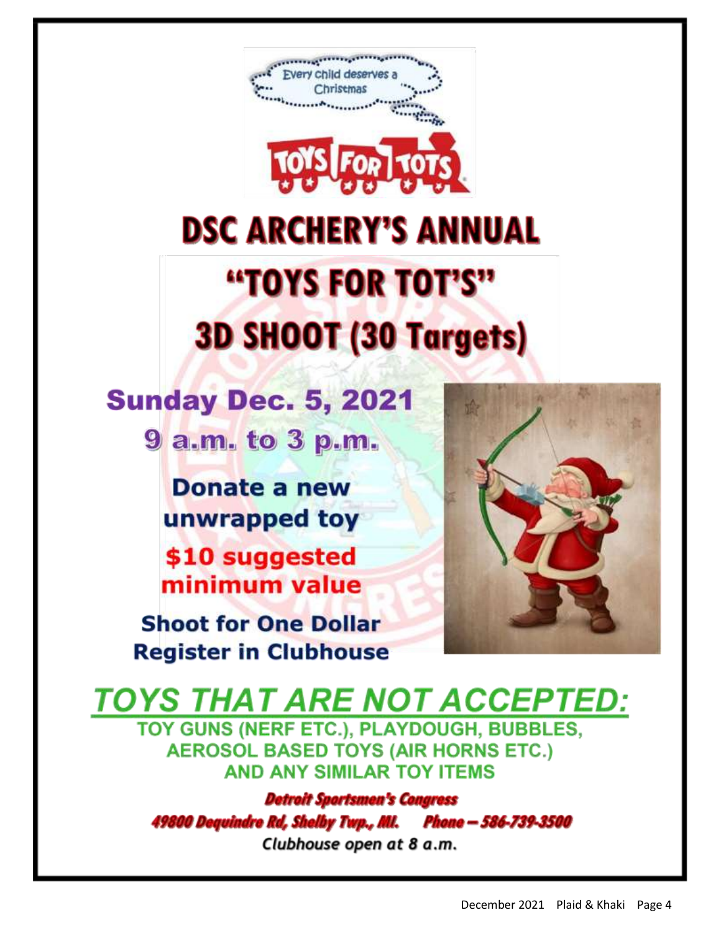

# **DSC ARCHERY'S ANNUAL** "TOYS FOR TOT'S" **3D SHOOT (30 Targets)**

## **Sunday Dec. 5, 2021**

9 a.m. to 3 p.m.

**Donate a new** unwrapped toy

\$10 suggested minimum value

**Shoot for One Dollar Register in Clubhouse** 



## **TOYS THAT ARE NOT ACCEPTED:**

TOY GUNS (NERF ETC.), PLAYDOUGH, BUBBLES, **AEROSOL BASED TOYS (AIR HORNS ETC.) AND ANY SIMILAR TOY ITEMS** 

**Detroit Sportsmen's Congress** 49800 Dequindre Rd, Shelby Twp., Ml. Phone – 586-739-3500 Clubhouse open at 8 a.m.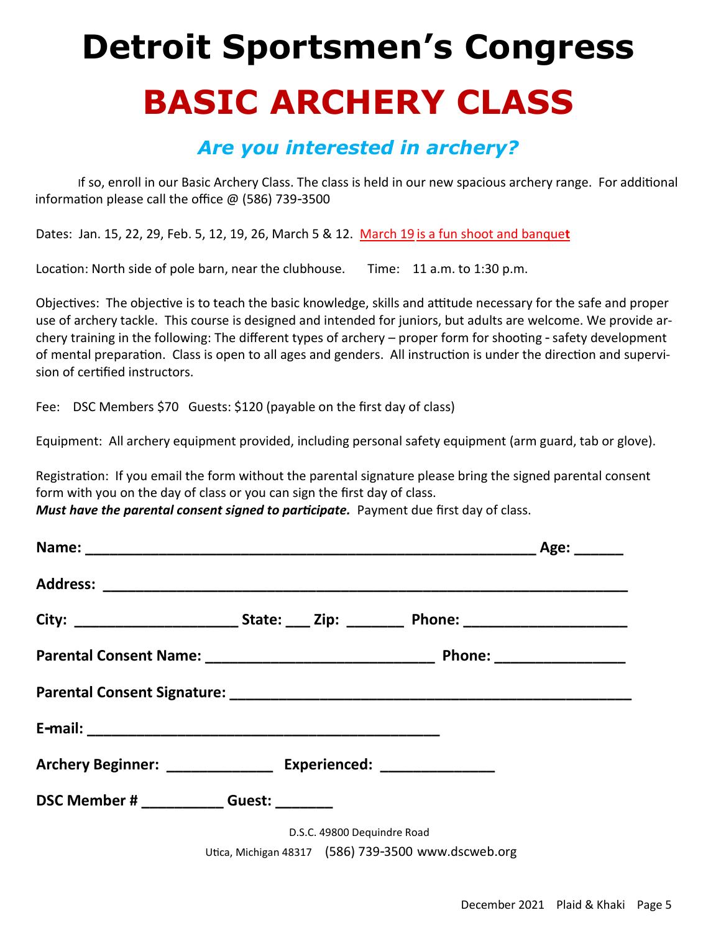## **Detroit Sportsmen's Congress BASIC ARCHERY CLASS**

### *Are you interested in archery?*

If so, enroll in our Basic Archery Class. The class is held in our new spacious archery range. For additional information please call the office @ (586) 739-3500

Dates: Jan. 15, 22, 29, Feb. 5, 12, 19, 26, March 5 & 12. March 19 is a fun shoot and banque**t**

Location: North side of pole barn, near the clubhouse. Time: 11 a.m. to 1:30 p.m.

Objectives: The objective is to teach the basic knowledge, skills and attitude necessary for the safe and proper use of archery tackle. This course is designed and intended for juniors, but adults are welcome. We provide archery training in the following: The different types of archery – proper form for shooting - safety development of mental preparation. Class is open to all ages and genders. All instruction is under the direction and supervision of certified instructors.

Fee: DSC Members \$70 Guests: \$120 (payable on the first day of class)

Equipment: All archery equipment provided, including personal safety equipment (arm guard, tab or glove).

Registration: If you email the form without the parental signature please bring the signed parental consent form with you on the day of class or you can sign the first day of class. *Must have the parental consent signed to participate.* Payment due first day of class.

| Parental Consent Signature: 2008 2009 2010 2020 2021 2021 2022 2023 2024 2022 2023 2024 2022 2023 2024 2022 20 |                                                     |                             |  |
|----------------------------------------------------------------------------------------------------------------|-----------------------------------------------------|-----------------------------|--|
|                                                                                                                |                                                     |                             |  |
| Archery Beginner: __________________ Experienced: _______________                                              |                                                     |                             |  |
| DSC Member # ____________Guest: _______                                                                        |                                                     |                             |  |
|                                                                                                                |                                                     | D.S.C. 49800 Dequindre Road |  |
|                                                                                                                | Utica, Michigan 48317 (586) 739-3500 www.dscweb.org |                             |  |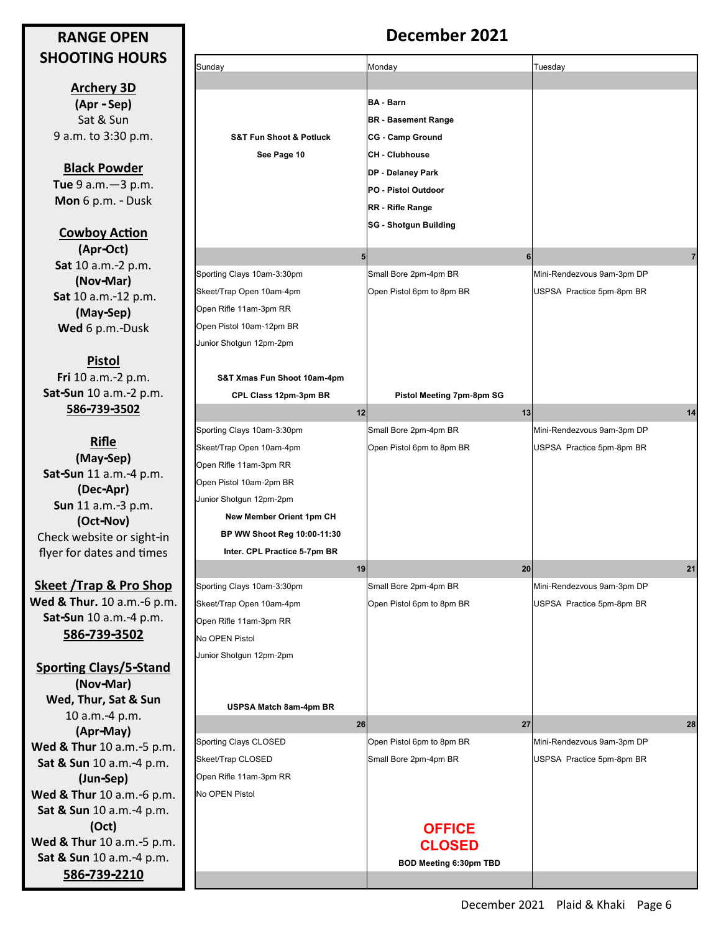#### **RANGE OPEN SHOOTING HOURS**

**Archery 3D (Apr - Sep)** Sat & Sun 9 a.m. to 3:30 p.m.

**Black Powder Tue** 9 a.m.—3 p.m. **Mon** 6 p.m. - Dusk

**Cowboy Action (Apr-Oct) Sat** 10 a.m.-2 p.m. **(Nov-Mar) Sat** 10 a.m.-12 p.m. **(May-Sep) Wed** 6 p.m.-Dusk

**Pistol Fri** 10 a.m.-2 p.m. **Sat-Sun** 10 a.m.-2 p.m. **586-739-3502**

**Rifle (May-Sep) Sat-Sun** 11 a.m.-4 p.m. **(Dec-Apr) Sun** 11 a.m.-3 p.m. **(Oct-Nov)**  Check website or sight-in flyer for dates and times

**Skeet /Trap & Pro Shop Wed & Thur.** 10 a.m.-6 p.m. **Sat-Sun** 10 a.m.-4 p.m. **586-739-3502**

**Sporting Clays/5-Stand (Nov-Mar) Wed, Thur, Sat & Sun**  10 a.m.-4 p.m. **(Apr-May) Wed & Thur** 10 a.m.-5 p.m. **Sat & Sun** 10 a.m.-4 p.m. **(Jun-Sep) Wed & Thur** 10 a.m.-6 p.m. **Sat & Sun** 10 a.m.-4 p.m. **(Oct) Wed & Thur** 10 a.m.-5 p.m. **Sat & Sun** 10 a.m.-4 p.m. **586-739-2210**

### **December 2021**

| Sunday                                                                                                                                  | Monday                                                                                                                                                                                                    | Tuesday                                                 |
|-----------------------------------------------------------------------------------------------------------------------------------------|-----------------------------------------------------------------------------------------------------------------------------------------------------------------------------------------------------------|---------------------------------------------------------|
|                                                                                                                                         |                                                                                                                                                                                                           |                                                         |
| <b>S&amp;T Fun Shoot &amp; Potluck</b><br>See Page 10                                                                                   | <b>BA - Barn</b><br><b>BR</b> - Basement Range<br><b>CG - Camp Ground</b><br><b>CH - Clubhouse</b><br>DP - Delaney Park<br><b>PO - Pistol Outdoor</b><br>RR - Rifle Range<br><b>SG - Shotgun Building</b> |                                                         |
|                                                                                                                                         | 5<br>6                                                                                                                                                                                                    | 7                                                       |
| Sporting Clays 10am-3:30pm<br>Skeet/Trap Open 10am-4pm<br>Open Rifle 11am-3pm RR<br>Open Pistol 10am-12pm BR<br>Junior Shotgun 12pm-2pm | Small Bore 2pm-4pm BR<br>Open Pistol 6pm to 8pm BR                                                                                                                                                        | Mini-Rendezvous 9am-3pm DP<br>USPSA Practice 5pm-8pm BR |
| S&T Xmas Fun Shoot 10am-4pm                                                                                                             |                                                                                                                                                                                                           |                                                         |
| CPL Class 12pm-3pm BR                                                                                                                   | Pistol Meeting 7pm-8pm SG                                                                                                                                                                                 |                                                         |
|                                                                                                                                         | 12<br>13                                                                                                                                                                                                  | 14                                                      |
| Sporting Clays 10am-3:30pm                                                                                                              | Small Bore 2pm-4pm BR                                                                                                                                                                                     | Mini-Rendezvous 9am-3pm DP                              |
| Skeet/Trap Open 10am-4pm                                                                                                                | Open Pistol 6pm to 8pm BR                                                                                                                                                                                 | USPSA Practice 5pm-8pm BR                               |
| Open Rifle 11am-3pm RR                                                                                                                  |                                                                                                                                                                                                           |                                                         |
| Open Pistol 10am-2pm BR                                                                                                                 |                                                                                                                                                                                                           |                                                         |
| Junior Shotgun 12pm-2pm                                                                                                                 |                                                                                                                                                                                                           |                                                         |
| New Member Orient 1pm CH                                                                                                                |                                                                                                                                                                                                           |                                                         |
| BP WW Shoot Reg 10:00-11:30                                                                                                             |                                                                                                                                                                                                           |                                                         |
| Inter. CPL Practice 5-7pm BR                                                                                                            |                                                                                                                                                                                                           |                                                         |
|                                                                                                                                         | 19<br>20                                                                                                                                                                                                  | 21                                                      |
| Sporting Clays 10am-3:30pm                                                                                                              | Small Bore 2pm-4pm BR                                                                                                                                                                                     | Mini-Rendezvous 9am-3pm DP                              |
| Skeet/Trap Open 10am-4pm                                                                                                                | Open Pistol 6pm to 8pm BR                                                                                                                                                                                 | USPSA Practice 5pm-8pm BR                               |
| Open Rifle 11am-3pm RR                                                                                                                  |                                                                                                                                                                                                           |                                                         |
| No OPEN Pistol                                                                                                                          |                                                                                                                                                                                                           |                                                         |
| Junior Shotgun 12pm-2pm                                                                                                                 |                                                                                                                                                                                                           |                                                         |
| USPSA Match 8am-4pm BR                                                                                                                  |                                                                                                                                                                                                           |                                                         |
|                                                                                                                                         | 26<br>27                                                                                                                                                                                                  | 28                                                      |
| Sporting Clays CLOSED                                                                                                                   | Open Pistol 6pm to 8pm BR                                                                                                                                                                                 | Mini-Rendezvous 9am-3pm DP                              |
| Skeet/Trap CLOSED                                                                                                                       | Small Bore 2pm-4pm BR                                                                                                                                                                                     | USPSA Practice 5pm-8pm BR                               |
| Open Rifle 11am-3pm RR                                                                                                                  |                                                                                                                                                                                                           |                                                         |
| No OPEN Pistol                                                                                                                          |                                                                                                                                                                                                           |                                                         |
|                                                                                                                                         | <b>OFFICE</b><br><b>CLOSED</b><br><b>BOD Meeting 6:30pm TBD</b>                                                                                                                                           |                                                         |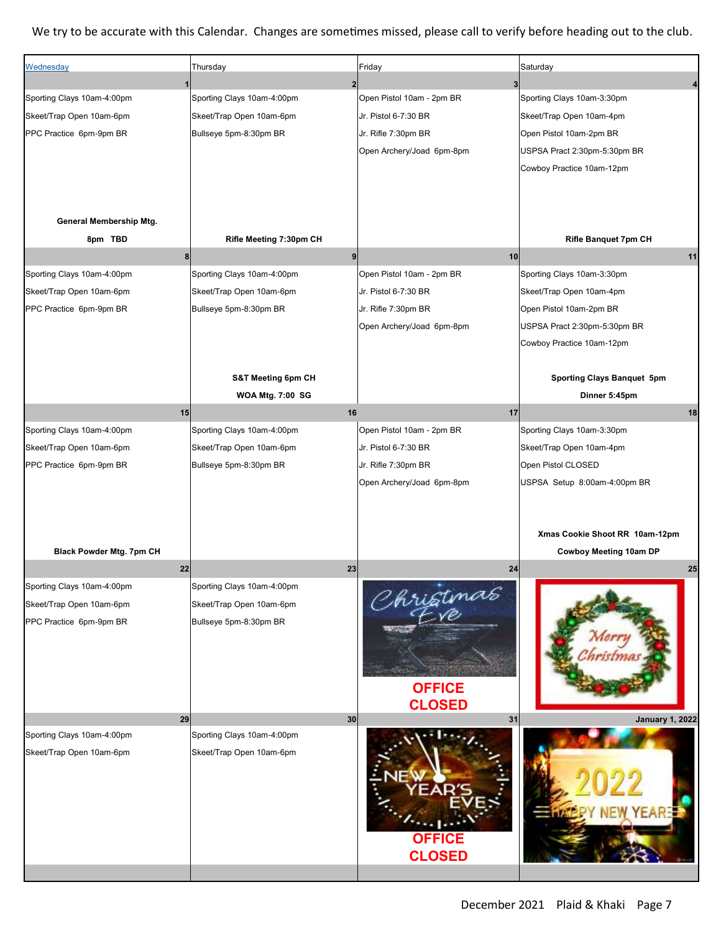#### We try to be accurate with this Calendar. Changes are sometimes missed, please call to verify before heading out to the club.

| Wednesday                  | Thursday                      | Friday                    | Saturday                       |
|----------------------------|-------------------------------|---------------------------|--------------------------------|
|                            |                               | 3                         |                                |
| Sporting Clays 10am-4:00pm | Sporting Clays 10am-4:00pm    | Open Pistol 10am - 2pm BR | Sporting Clays 10am-3:30pm     |
| Skeet/Trap Open 10am-6pm   | Skeet/Trap Open 10am-6pm      | Jr. Pistol 6-7:30 BR      | Skeet/Trap Open 10am-4pm       |
| PPC Practice 6pm-9pm BR    | Bullseye 5pm-8:30pm BR        | Jr. Rifle 7:30pm BR       | Open Pistol 10am-2pm BR        |
|                            |                               | Open Archery/Joad 6pm-8pm | USPSA Pract 2:30pm-5:30pm BR   |
|                            |                               |                           | Cowboy Practice 10am-12pm      |
|                            |                               |                           |                                |
|                            |                               |                           |                                |
| General Membership Mtg.    |                               |                           |                                |
| 8pm TBD                    | Rifle Meeting 7:30pm CH       |                           | <b>Rifle Banquet 7pm CH</b>    |
|                            | $\bf 8$<br>9                  | 10                        | 11                             |
| Sporting Clays 10am-4:00pm | Sporting Clays 10am-4:00pm    | Open Pistol 10am - 2pm BR | Sporting Clays 10am-3:30pm     |
| Skeet/Trap Open 10am-6pm   | Skeet/Trap Open 10am-6pm      | Jr. Pistol 6-7:30 BR      | Skeet/Trap Open 10am-4pm       |
| PPC Practice 6pm-9pm BR    | Bullseye 5pm-8:30pm BR        | Jr. Rifle 7:30pm BR       | Open Pistol 10am-2pm BR        |
|                            |                               |                           | USPSA Pract 2:30pm-5:30pm BR   |
|                            |                               | Open Archery/Joad 6pm-8pm |                                |
|                            |                               |                           | Cowboy Practice 10am-12pm      |
|                            |                               |                           |                                |
|                            | <b>S&amp;T Meeting 6pm CH</b> |                           | Sporting Clays Banquet 5pm     |
|                            | <b>WOA Mtg. 7:00 SG</b>       |                           | Dinner 5:45pm                  |
| 15                         | 16                            | 17                        | 18                             |
| Sporting Clays 10am-4:00pm | Sporting Clays 10am-4:00pm    | Open Pistol 10am - 2pm BR | Sporting Clays 10am-3:30pm     |
| Skeet/Trap Open 10am-6pm   | Skeet/Trap Open 10am-6pm      | Jr. Pistol 6-7:30 BR      | Skeet/Trap Open 10am-4pm       |
| PPC Practice 6pm-9pm BR    | Bullseye 5pm-8:30pm BR        | Jr. Rifle 7:30pm BR       | Open Pistol CLOSED             |
|                            |                               | Open Archery/Joad 6pm-8pm | USPSA Setup 8:00am-4:00pm BR   |
|                            |                               |                           |                                |
|                            |                               |                           |                                |
|                            |                               |                           | Xmas Cookie Shoot RR 10am-12pm |
| Black Powder Mtg. 7pm CH   |                               |                           | Cowboy Meeting 10am DP         |
| 22                         | 23                            | 24                        | 25                             |
| Sporting Clays 10am-4:00pm | Sporting Clays 10am-4:00pm    | Christmas                 |                                |
| Skeet/Trap Open 10am-6pm   | Skeet/Trap Open 10am-6pm      |                           |                                |
| PPC Practice 6pm-9pm BR    | Bullseye 5pm-8:30pm BR        |                           |                                |
|                            |                               |                           |                                |
|                            |                               |                           |                                |
|                            |                               |                           |                                |
|                            |                               | <b>OFFICE</b>             |                                |
|                            |                               | <b>CLOSED</b>             |                                |
| 29                         | 30                            | 31                        | <b>January 1, 2022</b>         |
| Sporting Clays 10am-4:00pm | Sporting Clays 10am-4:00pm    |                           |                                |
| Skeet/Trap Open 10am-6pm   | Skeet/Trap Open 10am-6pm      |                           |                                |
|                            |                               |                           |                                |
|                            |                               |                           |                                |
|                            |                               |                           |                                |
|                            |                               |                           |                                |
|                            |                               | <b>OFFICE</b>             |                                |
|                            |                               | <b>CLOSED</b>             |                                |
|                            |                               |                           |                                |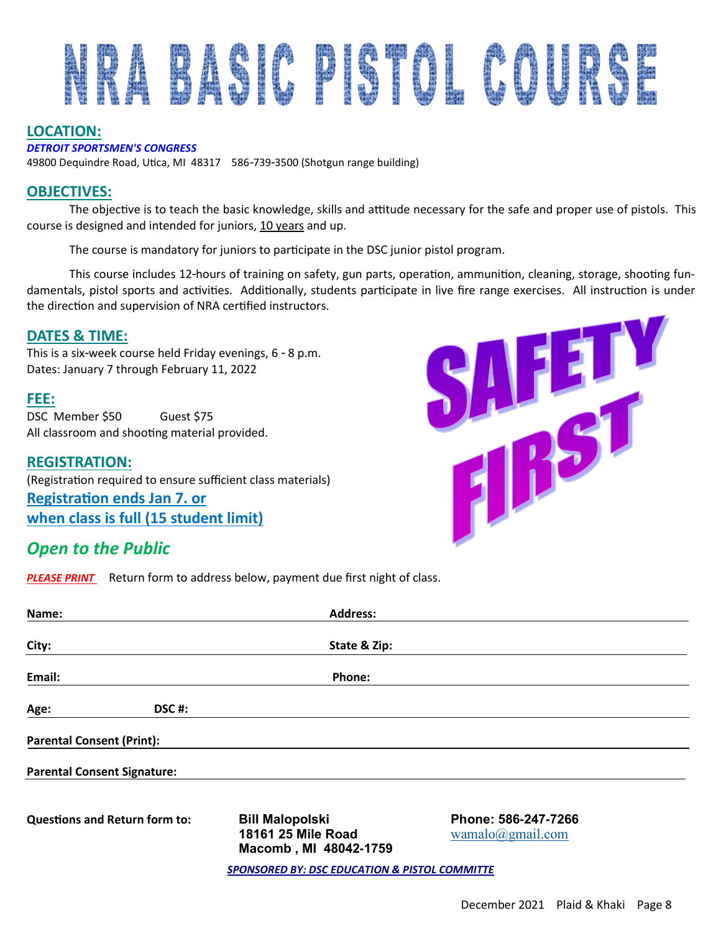

#### **LOCATION:**

#### *DETROIT SPORTSMEN'S CONGRESS*

49800 Dequindre Road, Utica, MI 48317 586-739-3500 (Shotgun range building)

#### **OBJECTIVES:**

The objective is to teach the basic knowledge, skills and attitude necessary for the safe and proper use of pistols. This course is designed and intended for juniors, 10 years and up.

The course is mandatory for juniors to participate in the DSC junior pistol program.

This course includes 12-hours of training on safety, gun parts, operation, ammunition, cleaning, storage, shooting fundamentals, pistol sports and activities. Additionally, students participate in live fire range exercises. All instruction is under the direction and supervision of NRA certified instructors.

#### **DATES & TIME:**

This is a six-week course held Friday evenings, 6 - 8 p.m. Dates: January 7 through February 11, 2022

#### **FEE:**

DSC Member \$50 Guest \$75 All classroom and shooting material provided.

**REGISTRATION:** (Registration required to ensure sufficient class materials) **Registration ends Jan 7. or when class is full (15 student limit)**

### *Open to the Public*

*PLEASE PRINT* Return form to address below, payment due first night of class.

| Name:                                |       | <b>Address:</b>                                                       |                                         |  |
|--------------------------------------|-------|-----------------------------------------------------------------------|-----------------------------------------|--|
| City:                                |       | State & Zip:                                                          |                                         |  |
| Email:                               |       | Phone:                                                                |                                         |  |
| Age:                                 | DSC#: |                                                                       |                                         |  |
| <b>Parental Consent (Print):</b>     |       |                                                                       |                                         |  |
| <b>Parental Consent Signature:</b>   |       |                                                                       |                                         |  |
| <b>Questions and Return form to:</b> |       | <b>Bill Malopolski</b><br>18161 25 Mile Road<br>Macomb, MI 48042-1759 | Phone: 586-247-7266<br>wamalo@gmail.com |  |
|                                      |       | <b>SPONSORED BY: DSC EDUCATION &amp; PISTOL COMMITTE</b>              |                                         |  |

E

**THS**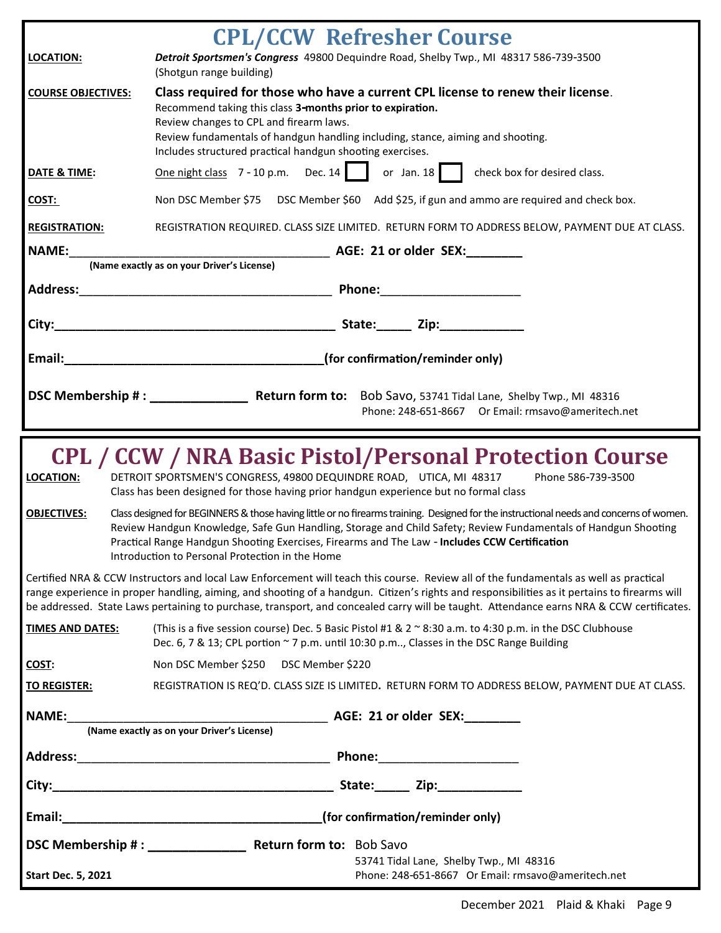|                           | <b>CPL/CCW Refresher Course</b>                                                                                                                                                                                                                                                                                                                                                                                                    |
|---------------------------|------------------------------------------------------------------------------------------------------------------------------------------------------------------------------------------------------------------------------------------------------------------------------------------------------------------------------------------------------------------------------------------------------------------------------------|
| LOCATION:                 | Detroit Sportsmen's Congress 49800 Dequindre Road, Shelby Twp., MI 48317 586-739-3500<br>(Shotgun range building)                                                                                                                                                                                                                                                                                                                  |
| <b>COURSE OBJECTIVES:</b> | Class required for those who have a current CPL license to renew their license.<br>Recommend taking this class 3-months prior to expiration.<br>Review changes to CPL and firearm laws.<br>Review fundamentals of handgun handling including, stance, aiming and shooting.<br>Includes structured practical handgun shooting exercises.                                                                                            |
| DATE & TIME:              | One night class 7 - 10 p.m. Dec. 14 or Jan. 18 check box for desired class.                                                                                                                                                                                                                                                                                                                                                        |
| COST:                     | Non DSC Member \$75 DSC Member \$60 Add \$25, if gun and ammo are required and check box.                                                                                                                                                                                                                                                                                                                                          |
| <b>REGISTRATION:</b>      | REGISTRATION REQUIRED. CLASS SIZE LIMITED. RETURN FORM TO ADDRESS BELOW, PAYMENT DUE AT CLASS.                                                                                                                                                                                                                                                                                                                                     |
| <b>NAME:</b>              |                                                                                                                                                                                                                                                                                                                                                                                                                                    |
|                           |                                                                                                                                                                                                                                                                                                                                                                                                                                    |
|                           |                                                                                                                                                                                                                                                                                                                                                                                                                                    |
|                           |                                                                                                                                                                                                                                                                                                                                                                                                                                    |
|                           | Email: Email: Email: (for confirmation/reminder only)                                                                                                                                                                                                                                                                                                                                                                              |
|                           | DSC Membership #: Return form to: Bob Savo, 53741 Tidal Lane, Shelby Twp., MI 48316<br>Phone: 248-651-8667 Or Email: rmsavo@ameritech.net                                                                                                                                                                                                                                                                                          |
| <b>LOCATION:</b>          | <b>CPL / CCW / NRA Basic Pistol/Personal Protection Course</b><br>DETROIT SPORTSMEN'S CONGRESS, 49800 DEQUINDRE ROAD, UTICA, MI 48317<br>Phone 586-739-3500<br>Class has been designed for those having prior handgun experience but no formal class                                                                                                                                                                               |
| <b>OBJECTIVES:</b>        | Class designed for BEGINNERS & those having little or no firearms training. Designed for the instructional needs and concerns of women.<br>Review Handgun Knowledge, Safe Gun Handling, Storage and Child Safety; Review Fundamentals of Handgun Shooting<br>Practical Range Handgun Shooting Exercises, Firearms and The Law - Includes CCW Certification<br>Introduction to Personal Protection in the Home                      |
|                           | Certified NRA & CCW Instructors and local Law Enforcement will teach this course. Review all of the fundamentals as well as practical<br>range experience in proper handling, aiming, and shooting of a handgun. Citizen's rights and responsibilities as it pertains to firearms will<br>be addressed. State Laws pertaining to purchase, transport, and concealed carry will be taught. Attendance earns NRA & CCW certificates. |
| <u>TIMES AND DATES:</u>   | (This is a five session course) Dec. 5 Basic Pistol #1 & 2 ~ 8:30 a.m. to 4:30 p.m. in the DSC Clubhouse<br>Dec. 6, 7 & 13; CPL portion ~ 7 p.m. until 10:30 p.m, Classes in the DSC Range Building                                                                                                                                                                                                                                |
| COST:                     | Non DSC Member \$250 DSC Member \$220                                                                                                                                                                                                                                                                                                                                                                                              |
| <b>TO REGISTER:</b>       | REGISTRATION IS REQ'D. CLASS SIZE IS LIMITED. RETURN FORM TO ADDRESS BELOW, PAYMENT DUE AT CLASS.                                                                                                                                                                                                                                                                                                                                  |
|                           |                                                                                                                                                                                                                                                                                                                                                                                                                                    |
|                           |                                                                                                                                                                                                                                                                                                                                                                                                                                    |
|                           |                                                                                                                                                                                                                                                                                                                                                                                                                                    |
|                           |                                                                                                                                                                                                                                                                                                                                                                                                                                    |
|                           |                                                                                                                                                                                                                                                                                                                                                                                                                                    |
|                           |                                                                                                                                                                                                                                                                                                                                                                                                                                    |
| <b>Start Dec. 5, 2021</b> | 53741 Tidal Lane, Shelby Twp., MI 48316<br>Phone: 248-651-8667 Or Email: rmsavo@ameritech.net                                                                                                                                                                                                                                                                                                                                      |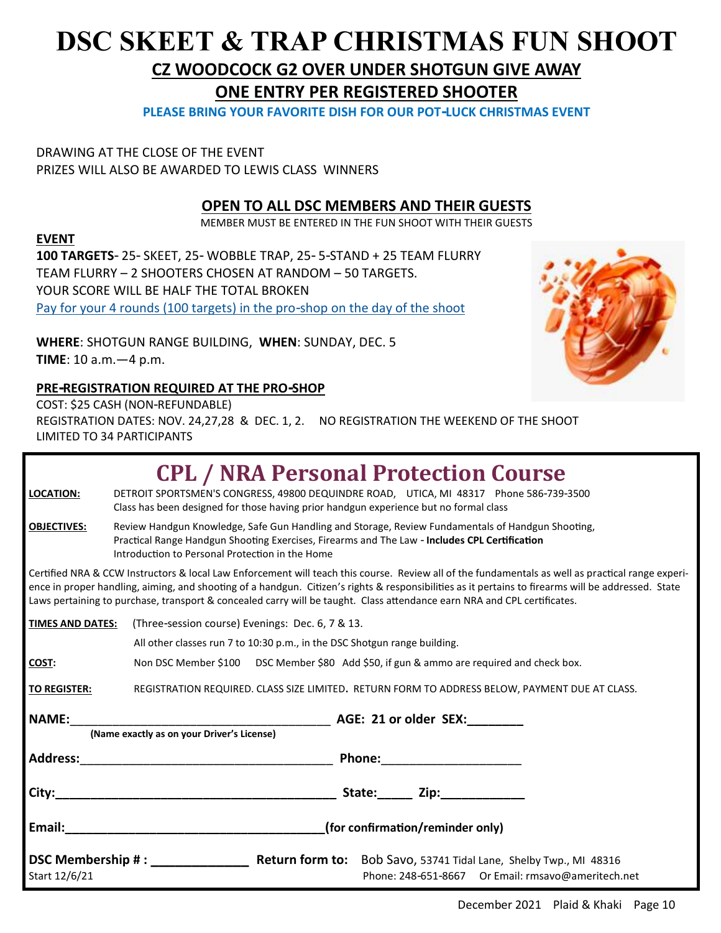## **DSC SKEET & TRAP CHRISTMAS FUN SHOOT CZ WOODCOCK G2 OVER UNDER SHOTGUN GIVE AWAY**

**ONE ENTRY PER REGISTERED SHOOTER** 

**PLEASE BRING YOUR FAVORITE DISH FOR OUR POT-LUCK CHRISTMAS EVENT**

DRAWING AT THE CLOSE OF THE EVENT PRIZES WILL ALSO BE AWARDED TO LEWIS CLASS WINNERS

#### **OPEN TO ALL DSC MEMBERS AND THEIR GUESTS**

MEMBER MUST BE ENTERED IN THE FUN SHOOT WITH THEIR GUESTS

#### **EVENT**

**100 TARGETS**- 25- SKEET, 25- WOBBLE TRAP, 25- 5-STAND + 25 TEAM FLURRY TEAM FLURRY – 2 SHOOTERS CHOSEN AT RANDOM – 50 TARGETS. YOUR SCORE WILL BE HALF THE TOTAL BROKEN Pay for your 4 rounds (100 targets) in the pro-shop on the day of the shoot

**WHERE**: SHOTGUN RANGE BUILDING, **WHEN**: SUNDAY, DEC. 5 **TIME**: 10 a.m.—4 p.m.



#### **PRE-REGISTRATION REQUIRED AT THE PRO-SHOP**

COST: \$25 CASH (NON-REFUNDABLE)

REGISTRATION DATES: NOV. 24,27,28 & DEC. 1, 2. NO REGISTRATION THE WEEKEND OF THE SHOOT LIMITED TO 34 PARTICIPANTS

| LOCATION:           | <b>CPL / NRA Personal Protection Course</b><br>DETROIT SPORTSMEN'S CONGRESS, 49800 DEQUINDRE ROAD, UTICA, MI 48317 Phone 586-739-3500<br>Class has been designed for those having prior handgun experience but no formal class                                                                                                                                                                                                       |  |  |  |
|---------------------|--------------------------------------------------------------------------------------------------------------------------------------------------------------------------------------------------------------------------------------------------------------------------------------------------------------------------------------------------------------------------------------------------------------------------------------|--|--|--|
| <b>OBJECTIVES:</b>  | Review Handgun Knowledge, Safe Gun Handling and Storage, Review Fundamentals of Handgun Shooting,<br>Practical Range Handgun Shooting Exercises, Firearms and The Law - Includes CPL Certification<br>Introduction to Personal Protection in the Home                                                                                                                                                                                |  |  |  |
|                     | Certified NRA & CCW Instructors & local Law Enforcement will teach this course. Review all of the fundamentals as well as practical range experi-<br>ence in proper handling, aiming, and shooting of a handgun. Citizen's rights & responsibilities as it pertains to firearms will be addressed. State<br>Laws pertaining to purchase, transport & concealed carry will be taught. Class attendance earn NRA and CPL certificates. |  |  |  |
|                     | <b>TIMES AND DATES:</b> (Three-session course) Evenings: Dec. 6, 7 & 13.                                                                                                                                                                                                                                                                                                                                                             |  |  |  |
|                     | All other classes run 7 to 10:30 p.m., in the DSC Shotgun range building.                                                                                                                                                                                                                                                                                                                                                            |  |  |  |
| COST:               | Non DSC Member \$100 DSC Member \$80 Add \$50, if gun & ammo are required and check box.                                                                                                                                                                                                                                                                                                                                             |  |  |  |
| <b>TO REGISTER:</b> | REGISTRATION REQUIRED. CLASS SIZE LIMITED. RETURN FORM TO ADDRESS BELOW, PAYMENT DUE AT CLASS.                                                                                                                                                                                                                                                                                                                                       |  |  |  |
|                     |                                                                                                                                                                                                                                                                                                                                                                                                                                      |  |  |  |
|                     | (Name exactly as on your Driver's License)                                                                                                                                                                                                                                                                                                                                                                                           |  |  |  |
|                     |                                                                                                                                                                                                                                                                                                                                                                                                                                      |  |  |  |
| City:               |                                                                                                                                                                                                                                                                                                                                                                                                                                      |  |  |  |
| Email:              | (for confirmation/reminder only)                                                                                                                                                                                                                                                                                                                                                                                                     |  |  |  |
| Start 12/6/21       | Phone: 248-651-8667 Or Email: rmsavo@ameritech.net                                                                                                                                                                                                                                                                                                                                                                                   |  |  |  |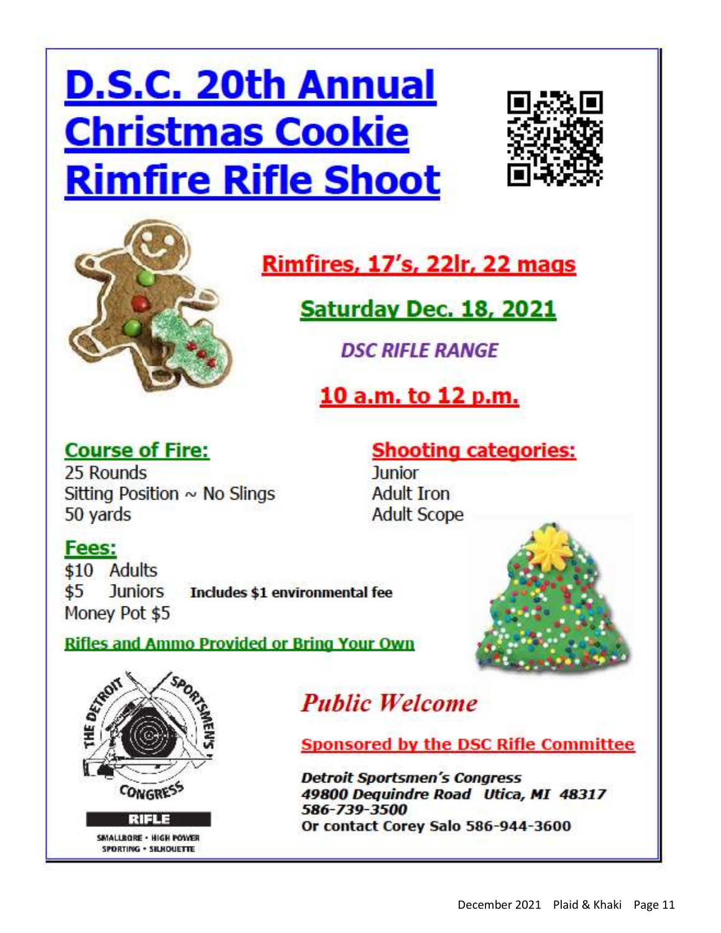## **D.S.C. 20th Annual Christmas Cookie Rimfire Rifle Shoot**





## **Rimfires, 17's, 22lr, 22 mags**

Saturday Dec. 18, 2021

**DSC RIFLE RANGE** 

10 a.m. to 12 p.m.

## **Course of Fire:**

25 Rounds Sitting Position  $\sim$  No Slings 50 yards

**Shooting categories: Junior Adult Iron Adult Scope** 

## Fees:

\$10 Adults **Juniors** \$5 Includes \$1 environmental fee Money Pot \$5

**Rifles and Ammo Provided or Bring Your Own** 





SMALLBORE - HIGH POWER SPORTING . SELHOUETTE

## **Public Welcome**

**Sponsored by the DSC Rifle Committee** 

**Detroit Sportsmen's Congress** 49800 Dequindre Road Utica, MI 48317 586-739-3500 Or contact Corey Salo 586-944-3600